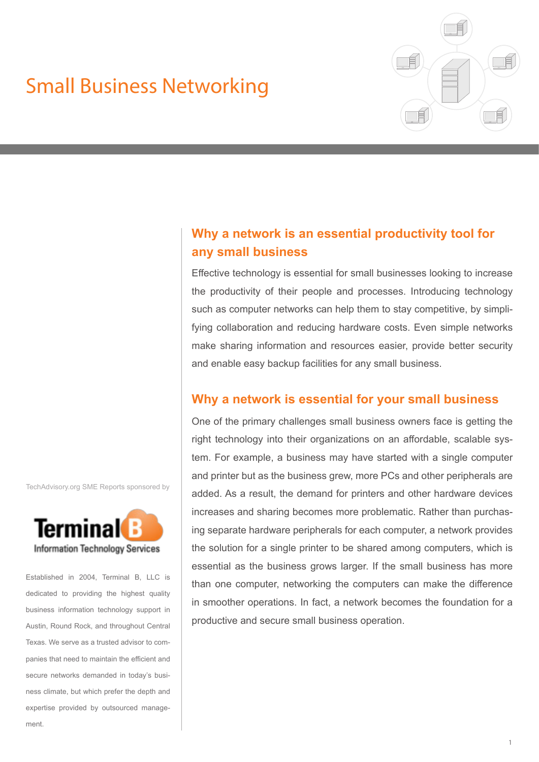# Small Business Networking



# **Why a network is an essential productivity tool for any small business**

Effective technology is essential for small businesses looking to increase the productivity of their people and processes. Introducing technology such as computer networks can help them to stay competitive, by simplifying collaboration and reducing hardware costs. Even simple networks make sharing information and resources easier, provide better security and enable easy backup facilities for any small business.

# **Why a network is essential for your small business**

One of the primary challenges small business owners face is getting the right technology into their organizations on an affordable, scalable system. For example, a business may have started with a single computer and printer but as the business grew, more PCs and other peripherals are added. As a result, the demand for printers and other hardware devices increases and sharing becomes more problematic. Rather than purchasing separate hardware peripherals for each computer, a network provides the solution for a single printer to be shared among computers, which is essential as the business grows larger. If the small business has more than one computer, networking the computers can make the difference in smoother operations. In fact, a network becomes the foundation for a productive and secure small business operation.

TechAdvisory.org SME Reports sponsored by



Established in 2004, Terminal B, LLC is dedicated to providing the highest quality business information technology support in Austin, Round Rock, and throughout Central Texas. We serve as a trusted advisor to companies that need to maintain the efficient and secure networks demanded in today's business climate, but which prefer the depth and expertise provided by outsourced management.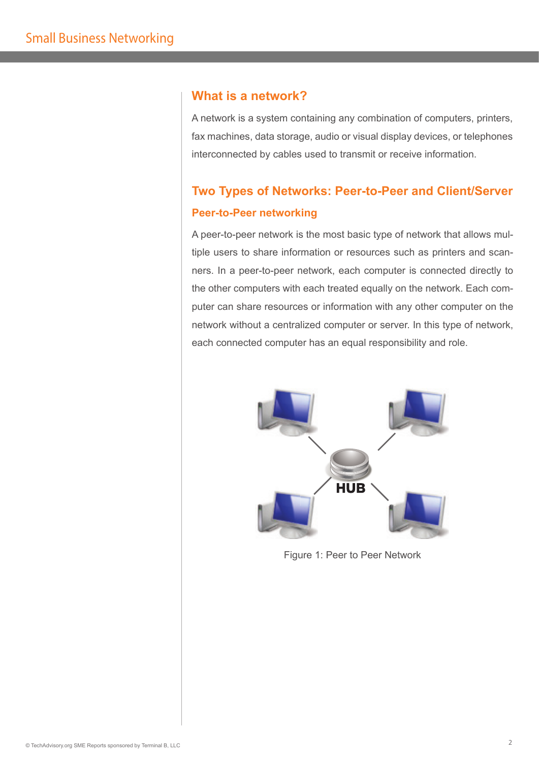## **What is a network?**

A network is a system containing any combination of computers, printers, fax machines, data storage, audio or visual display devices, or telephones interconnected by cables used to transmit or receive information.

# **Two Types of Networks: Peer-to-Peer and Client/Server Peer-to-Peer networking**

A peer-to-peer network is the most basic type of network that allows multiple users to share information or resources such as printers and scanners. In a peer-to-peer network, each computer is connected directly to the other computers with each treated equally on the network. Each computer can share resources or information with any other computer on the network without a centralized computer or server. In this type of network, each connected computer has an equal responsibility and role.



Figure 1: Peer to Peer Network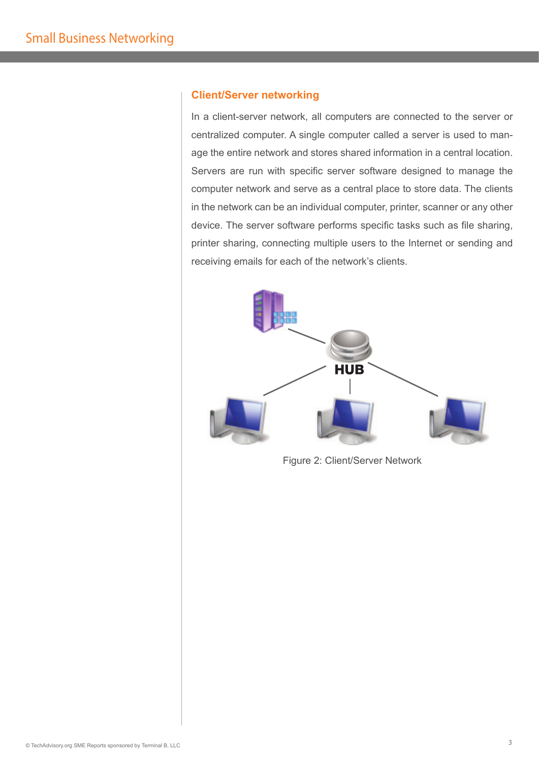#### **Client/Server networking**

In a client-server network, all computers are connected to the server or centralized computer. A single computer called a server is used to manage the entire network and stores shared information in a central location. Servers are run with specific server software designed to manage the computer network and serve as a central place to store data. The clients in the network can be an individual computer, printer, scanner or any other device. The server software performs specific tasks such as file sharing, printer sharing, connecting multiple users to the Internet or sending and receiving emails for each of the network's clients.



Figure 2: Client/Server Network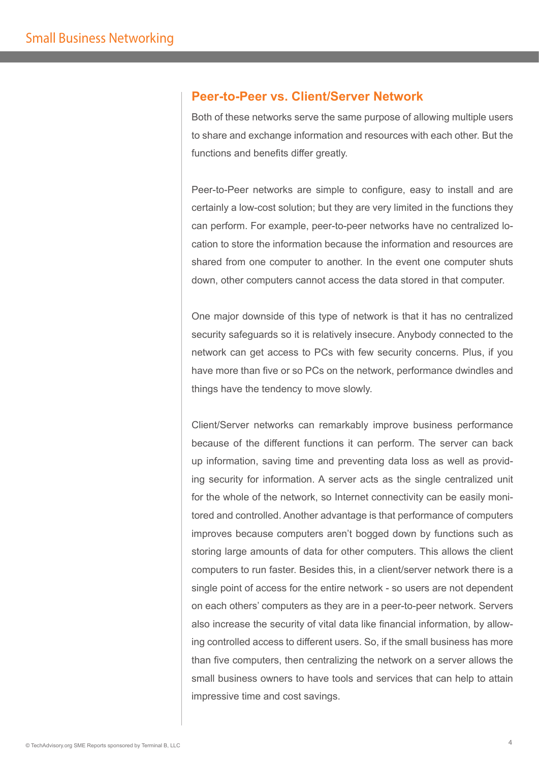### **Peer-to-Peer vs. Client/Server Network**

Both of these networks serve the same purpose of allowing multiple users to share and exchange information and resources with each other. But the functions and benefits differ greatly.

Peer-to-Peer networks are simple to configure, easy to install and are certainly a low-cost solution; but they are very limited in the functions they can perform. For example, peer-to-peer networks have no centralized location to store the information because the information and resources are shared from one computer to another. In the event one computer shuts down, other computers cannot access the data stored in that computer.

One major downside of this type of network is that it has no centralized security safeguards so it is relatively insecure. Anybody connected to the network can get access to PCs with few security concerns. Plus, if you have more than five or so PCs on the network, performance dwindles and things have the tendency to move slowly.

Client/Server networks can remarkably improve business performance because of the different functions it can perform. The server can back up information, saving time and preventing data loss as well as providing security for information. A server acts as the single centralized unit for the whole of the network, so Internet connectivity can be easily monitored and controlled. Another advantage is that performance of computers improves because computers aren't bogged down by functions such as storing large amounts of data for other computers. This allows the client computers to run faster. Besides this, in a client/server network there is a single point of access for the entire network - so users are not dependent on each others' computers as they are in a peer-to-peer network. Servers also increase the security of vital data like financial information, by allowing controlled access to different users. So, if the small business has more than five computers, then centralizing the network on a server allows the small business owners to have tools and services that can help to attain impressive time and cost savings.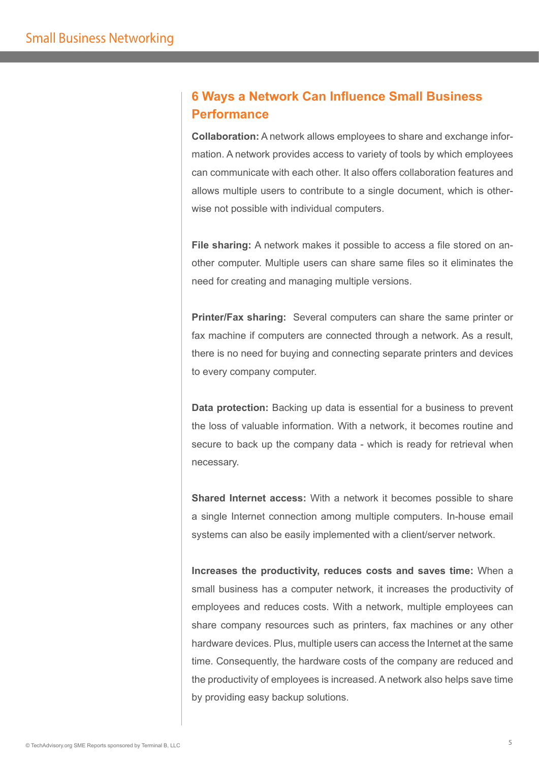# **6 Ways a Network Can Influence Small Business Performance**

**Collaboration:** A network allows employees to share and exchange information. A network provides access to variety of tools by which employees can communicate with each other. It also offers collaboration features and allows multiple users to contribute to a single document, which is otherwise not possible with individual computers.

**File sharing:** A network makes it possible to access a file stored on another computer. Multiple users can share same files so it eliminates the need for creating and managing multiple versions.

**Printer/Fax sharing:** Several computers can share the same printer or fax machine if computers are connected through a network. As a result, there is no need for buying and connecting separate printers and devices to every company computer.

**Data protection:** Backing up data is essential for a business to prevent the loss of valuable information. With a network, it becomes routine and secure to back up the company data - which is ready for retrieval when necessary.

**Shared Internet access:** With a network it becomes possible to share a single Internet connection among multiple computers. In-house email systems can also be easily implemented with a client/server network.

**Increases the productivity, reduces costs and saves time:** When a small business has a computer network, it increases the productivity of employees and reduces costs. With a network, multiple employees can share company resources such as printers, fax machines or any other hardware devices. Plus, multiple users can access the Internet at the same time. Consequently, the hardware costs of the company are reduced and the productivity of employees is increased. A network also helps save time by providing easy backup solutions.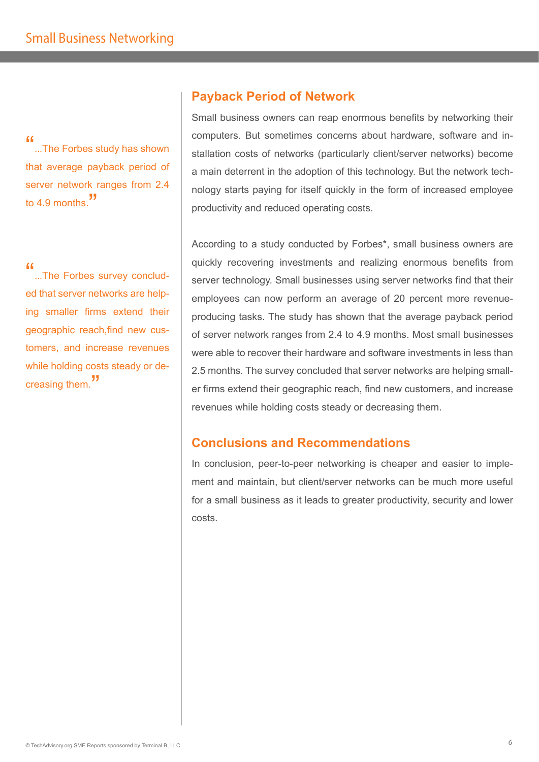...The Forbes study has shown that average payback period of server network ranges from 2.4 to 4.9 months.  $\overline{\phantom{a}}$ 

"...The Forbes survey concluded that server networks are helping smaller firms extend their geographic reach,find new customers, and increase revenues while holding costs steady or decreasing them. "

# **Payback Period of Network**

Small business owners can reap enormous benefits by networking their computers. But sometimes concerns about hardware, software and installation costs of networks (particularly client/server networks) become a main deterrent in the adoption of this technology. But the network technology starts paying for itself quickly in the form of increased employee productivity and reduced operating costs.

According to a study conducted by Forbes\*, small business owners are quickly recovering investments and realizing enormous benefits from server technology. Small businesses using server networks find that their employees can now perform an average of 20 percent more revenueproducing tasks. The study has shown that the average payback period of server network ranges from 2.4 to 4.9 months. Most small businesses were able to recover their hardware and software investments in less than 2.5 months. The survey concluded that server networks are helping smaller firms extend their geographic reach, find new customers, and increase revenues while holding costs steady or decreasing them.

# **Conclusions and Recommendations**

In conclusion, peer-to-peer networking is cheaper and easier to implement and maintain, but client/server networks can be much more useful for a small business as it leads to greater productivity, security and lower costs.